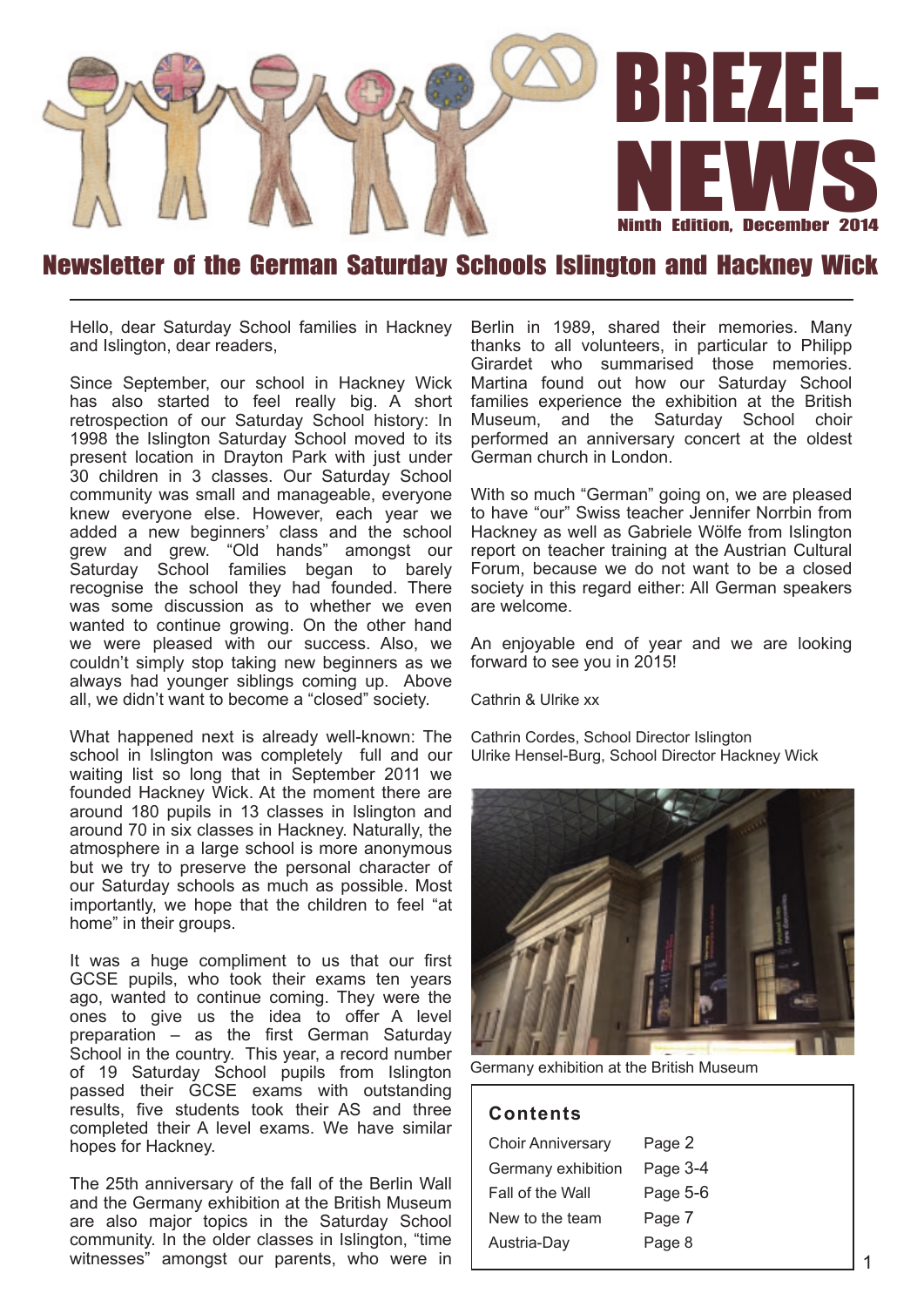

### Newsletter of the German Saturday Schools Islington and Hackney Wick

Hello, dear Saturday School families in Hackney and Islington, dear readers,

Since September, our school in Hackney Wick has also started to feel really big. A short retrospection of our Saturday School history: In 1998 the Islington Saturday School moved to its present location in Drayton Park with just under 30 children in 3 classes. Our Saturday School community was small and manageable, everyone knew everyone else. However, each year we added a new beginners' class and the school grew and grew. "Old hands" amongst our Saturday School families began to barely recognise the school they had founded. There was some discussion as to whether we even wanted to continue growing. On the other hand we were pleased with our success. Also, we couldn't simply stop taking new beginners as we always had younger siblings coming up. Above all, we didn't want to become a "closed" society.

What happened next is already well-known: The school in Islington was completely full and our waiting list so long that in September 2011 we founded Hackney Wick. At the moment there are around 180 pupils in 13 classes in Islington and around 70 in six classes in Hackney. Naturally, the atmosphere in a large school is more anonymous but we try to preserve the personal character of our Saturday schools as much as possible. Most importantly, we hope that the children to feel "at home" in their groups.

It was a huge compliment to us that our first GCSE pupils, who took their exams ten years ago, wanted to continue coming. They were the ones to give us the idea to offer A level preparation – as the first German Saturday School in the country. This year, a record number of 19 Saturday School pupils from Islington passed their GCSE exams with outstanding results, five students took their AS and three completed their A level exams. We have similar hopes for Hackney.

The 25th anniversary of the fall of the Berlin Wall and the Germany exhibition at the British Museum are also major topics in the Saturday School community. In the older classes in Islington, "time witnesses" amongst our parents, who were in

Berlin in 1989, shared their memories. Many thanks to all volunteers, in particular to Philipp Girardet who summarised those memories. Martina found out how our Saturday School families experience the exhibition at the British Museum, and the Saturday School choir performed an anniversary concert at the oldest German church in London.

With so much "German" going on, we are pleased to have "our" Swiss teacher Jennifer Norrbin from Hackney as well as Gabriele Wölfe from Islington report on teacher training at the Austrian Cultural Forum, because we do not want to be a closed society in this regard either: All German speakers are welcome.

An enjoyable end of year and we are looking forward to see you in 2015!

Cathrin & Ulrike xx

Cathrin Cordes, School Director Islington Ulrike Hensel-Burg, School Director Hackney Wick



Germany exhibition at the British Museum

#### **Con ten ts**

| <b>Choir Anniversary</b> | Page 2   |
|--------------------------|----------|
| Germany exhibition       | Page 3-4 |
| Fall of the Wall         | Page 5-6 |
| New to the team          | Page 7   |
| Austria-Day              | Page 8   |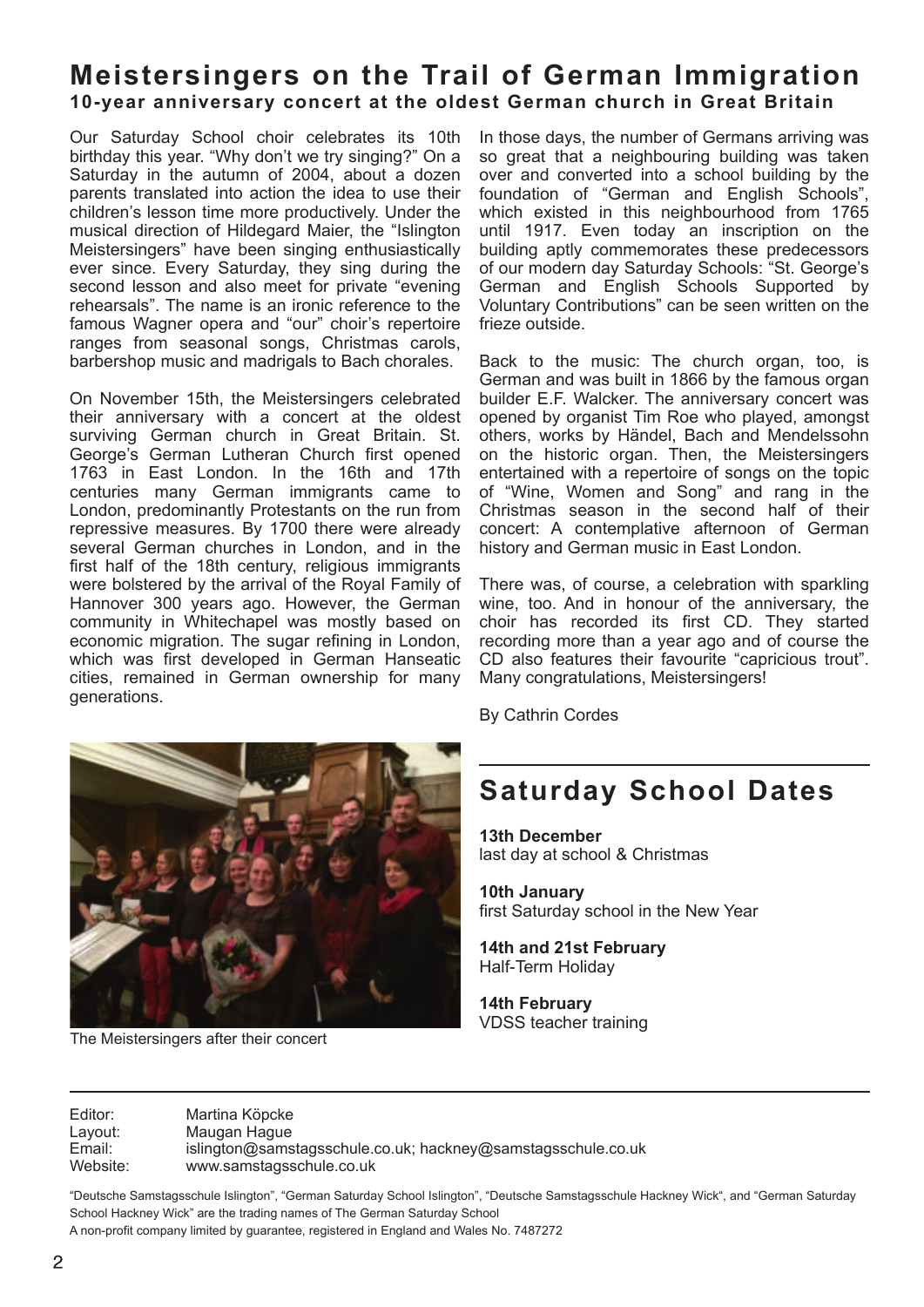### **Meistersingers on the Trail of German Immigration** 10-year anniversary concert at the oldest German church in Great Britain

Our Saturday School choir celebrates its 10th birthday this year. "Why don't we try singing?" On a Saturday in the autumn of 2004, about a dozen parents translated into action the idea to use their children's lesson time more productively. Under the musical direction of Hildegard Maier, the "Islington Meistersingers" have been singing enthusiastically ever since. Every Saturday, they sing during the second lesson and also meet for private "evening rehearsals". The name is an ironic reference to the famous Wagner opera and "our" choir's repertoire ranges from seasonal songs, Christmas carols, barbershop music and madrigals to Bach chorales.

On November 15th, the Meistersingers celebrated their anniversary with a concert at the oldest surviving German church in Great Britain. St. George's German Lutheran Church first opened 1763 in East London. In the 16th and 17th centuries many German immigrants came to London, predominantly Protestants on the run from repressive measures. By 1700 there were already several German churches in London, and in the first half of the 18th century, religious immigrants were bolstered by the arrival of the Royal Family of Hannover 300 years ago. However, the German community in Whitechapel was mostly based on economic migration. The sugar refining in London, which was first developed in German Hanseatic cities, remained in German ownership for many generations.

In those days, the number of Germans arriving was so great that a neighbouring building was taken over and converted into a school building by the foundation of "German and English Schools", which existed in this neighbourhood from 1765 until 1917. Even today an inscription on the building aptly commemorates these predecessors of our modern day Saturday Schools: "St. George's German and English Schools Supported by Voluntary Contributions" can be seen written on the frieze outside.

Back to the music: The church organ, too, is German and was built in 1866 by the famous organ builder E.F. Walcker. The anniversary concert was opened by organist Tim Roe who played, amongst others, works by Händel, Bach and Mendelssohn on the historic organ. Then, the Meistersingers entertained with a repertoire of songs on the topic of "Wine, Women and Song" and rang in the Christmas season in the second half of their concert: A contemplative afternoon of German history and German music in East London.

There was, of course, a celebration with sparkling wine, too. And in honour of the anniversary, the choir has recorded its first CD. They started recording more than a year ago and of course the CD also features their favourite "capricious trout". Many congratulations, Meistersingers!

By Cathrin Cordes

The Meistersingers after their concert

# **Saturday School Dates**

**13th December** last day at school & Christmas

**10th January** first Saturday school in the New Year

**14th and 21st February** Half-Term Holiday

**14th February** VDSS teacher training

Editor: Martina Köpcke Layout: Maugan Hague<br>
Email: islington@sams Email: islington@samstagsschule.co.uk; hackney@samstagsschule.co.uk www.samstagsschule.co.uk

"Deutsche Samstagsschule Islington", "German Saturday School Islington", "Deutsche Samstagsschule Hackney Wick", and "German Saturday School Hackney Wick" are the trading names of The German Saturday School

A non-profit company limited by guarantee, registered in England and Wales No. 7487272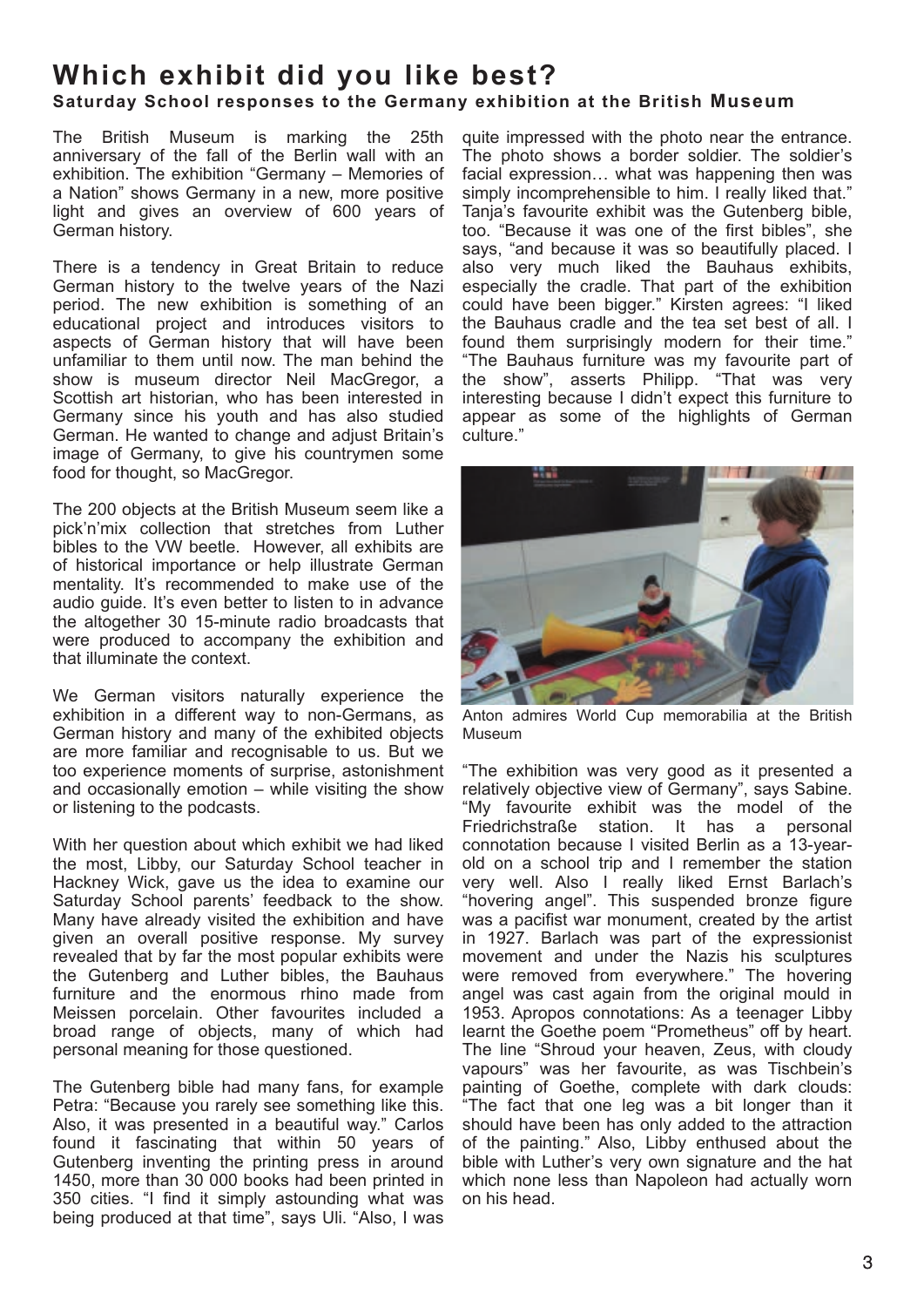# **Which exhibit did you like best?**

### **Saturday School responses to the Germany exhibition at the British Museum**

The British Museum is marking the 25th anniversary of the fall of the Berlin wall with an exhibition. The exhibition "Germany – Memories of a Nation" shows Germany in a new, more positive light and gives an overview of 600 years of German history.

There is a tendency in Great Britain to reduce German history to the twelve years of the Nazi period. The new exhibition is something of an educational project and introduces visitors to aspects of German history that will have been unfamiliar to them until now. The man behind the show is museum director Neil MacGregor, a Scottish art historian, who has been interested in Germany since his youth and has also studied German. He wanted to change and adjust Britain's image of Germany, to give his countrymen some food for thought, so MacGregor.

The 200 objects at the British Museum seem like a pick'n'mix collection that stretches from Luther bibles to the VW beetle. However, all exhibits are of historical importance or help illustrate German mentality. It's recommended to make use of the audio guide. It's even better to listen to in advance the altogether 30 15-minute radio broadcasts that were produced to accompany the exhibition and that illuminate the context.

We German visitors naturally experience the exhibition in a different way to non-Germans, as German history and many of the exhibited objects are more familiar and recognisable to us. But we too experience moments of surprise, astonishment and occasionally emotion – while visiting the show or listening to the podcasts.

With her question about which exhibit we had liked the most, Libby, our Saturday School teacher in Hackney Wick, gave us the idea to examine our Saturday School parents' feedback to the show. Many have already visited the exhibition and have given an overall positive response. My survey revealed that by far the most popular exhibits were the Gutenberg and Luther bibles, the Bauhaus furniture and the enormous rhino made from Meissen porcelain. Other favourites included a broad range of objects, many of which had personal meaning for those questioned.

The Gutenberg bible had many fans, for example Petra: "Because you rarely see something like this. Also, it was presented in a beautiful way." Carlos found it fascinating that within 50 years of Gutenberg inventing the printing press in around 1450, more than 30 000 books had been printed in 350 cities. "I find it simply astounding what was being produced at that time", says Uli. "Also, I was

quite impressed with the photo near the entrance. The photo shows a border soldier. The soldier's facial expression… what was happening then was simply incomprehensible to him. I really liked that." Tanja's favourite exhibit was the Gutenberg bible, too. "Because it was one of the first bibles", she says, "and because it was so beautifully placed. I also very much liked the Bauhaus exhibits, especially the cradle. That part of the exhibition could have been bigger." Kirsten agrees: "I liked the Bauhaus cradle and the tea set best of all. I found them surprisingly modern for their time." "The Bauhaus furniture was my favourite part of the show", asserts Philipp. "That was very interesting because I didn't expect this furniture to appear as some of the highlights of German culture."



Anton admires World Cup memorabilia at the British Museum

"The exhibition was very good as it presented a relatively objective view of Germany", says Sabine. "My favourite exhibit was the model of the Friedrichstraße station. It has a personal connotation because I visited Berlin as a 13-yearold on a school trip and I remember the station very well. Also I really liked Ernst Barlach's "hovering angel". This suspended bronze figure was a pacifist war monument, created by the artist in 1927. Barlach was part of the expressionist movement and under the Nazis his sculptures were removed from everywhere." The hovering angel was cast again from the original mould in 1953. Apropos connotations: As a teenager Libby learnt the Goethe poem "Prometheus" off by heart. The line "Shroud your heaven, Zeus, with cloudy vapours" was her favourite, as was Tischbein's painting of Goethe, complete with dark clouds: "The fact that one leg was a bit longer than it should have been has only added to the attraction of the painting." Also, Libby enthused about the bible with Luther's very own signature and the hat which none less than Napoleon had actually worn on his head.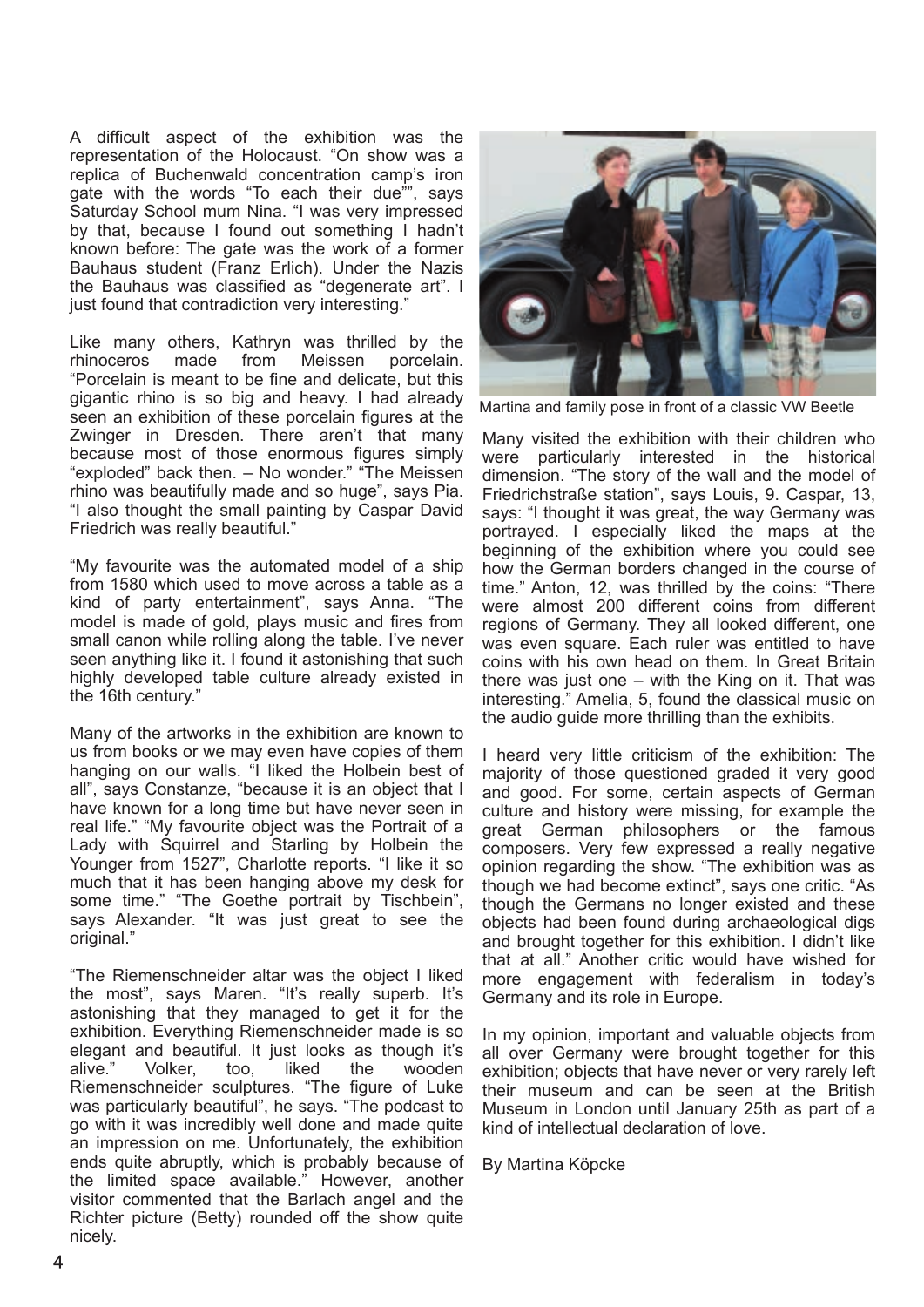A difficult aspect of the exhibition was the representation of the Holocaust. "On show was a replica of Buchenwald concentration camp's iron gate with the words "To each their due"", says Saturday School mum Nina. "I was very impressed by that, because I found out something I hadn't known before: The gate was the work of a former Bauhaus student (Franz Erlich). Under the Nazis the Bauhaus was classified as "degenerate art". I just found that contradiction very interesting."

Like many others, Kathryn was thrilled by the rhinoceros made from Meissen porcelain. "Porcelain is meant to be fine and delicate, but this gigantic rhino is so big and heavy. I had already seen an exhibition of these porcelain figures at the Zwinger in Dresden. There aren't that many because most of those enormous figures simply "exploded" back then. – No wonder." "The Meissen rhino was beautifully made and so huge", says Pia. "I also thought the small painting by Caspar David Friedrich was really beautiful."

"My favourite was the automated model of a ship from 1580 which used to move across a table as a kind of party entertainment", says Anna. "The model is made of gold, plays music and fires from small canon while rolling along the table. I've never seen anything like it. I found it astonishing that such highly developed table culture already existed in the 16th century."

Many of the artworks in the exhibition are known to us from books or we may even have copies of them hanging on our walls. "I liked the Holbein best of all", says Constanze, "because it is an object that I have known for a long time but have never seen in real life." "My favourite object was the Portrait of a Lady with Squirrel and Starling by Holbein the Younger from 1527", Charlotte reports. "I like it so much that it has been hanging above my desk for some time." "The Goethe portrait by Tischbein", says Alexander. "It was just great to see the original."

"The Riemenschneider altar was the object I liked the most", says Maren. "It's really superb. It's astonishing that they managed to get it for the exhibition. Everything Riemenschneider made is so elegant and beautiful. It just looks as though it's<br>alive." Volker. too. Iiked the wooden too, liked the wooden Riemenschneider sculptures. "The figure of Luke was particularly beautiful", he says. "The podcast to go with it was incredibly well done and made quite an impression on me. Unfortunately, the exhibition ends quite abruptly, which is probably because of the limited space available." However, another visitor commented that the Barlach angel and the Richter picture (Betty) rounded off the show quite nicely.



Martina and family pose in front of a classic VW Beetle

Many visited the exhibition with their children who were particularly interested in the historical dimension. "The story of the wall and the model of Friedrichstraße station", says Louis, 9. Caspar, 13, says: "I thought it was great, the way Germany was portrayed. I especially liked the maps at the beginning of the exhibition where you could see how the German borders changed in the course of time." Anton, 12, was thrilled by the coins: "There were almost 200 different coins from different regions of Germany. They all looked different, one was even square. Each ruler was entitled to have coins with his own head on them. In Great Britain there was just one – with the King on it. That was interesting." Amelia, 5, found the classical music on the audio guide more thrilling than the exhibits.

I heard very little criticism of the exhibition: The majority of those questioned graded it very good and good. For some, certain aspects of German culture and history were missing, for example the great German philosophers or the famous composers. Very few expressed a really negative opinion regarding the show. "The exhibition was as though we had become extinct", says one critic. "As though the Germans no longer existed and these objects had been found during archaeological digs and brought together for this exhibition. I didn't like that at all." Another critic would have wished for more engagement with federalism in today's Germany and its role in Europe.

In my opinion, important and valuable objects from all over Germany were brought together for this exhibition; objects that have never or very rarely left their museum and can be seen at the British Museum in London until January 25th as part of a kind of intellectual declaration of love.

By Martina Köpcke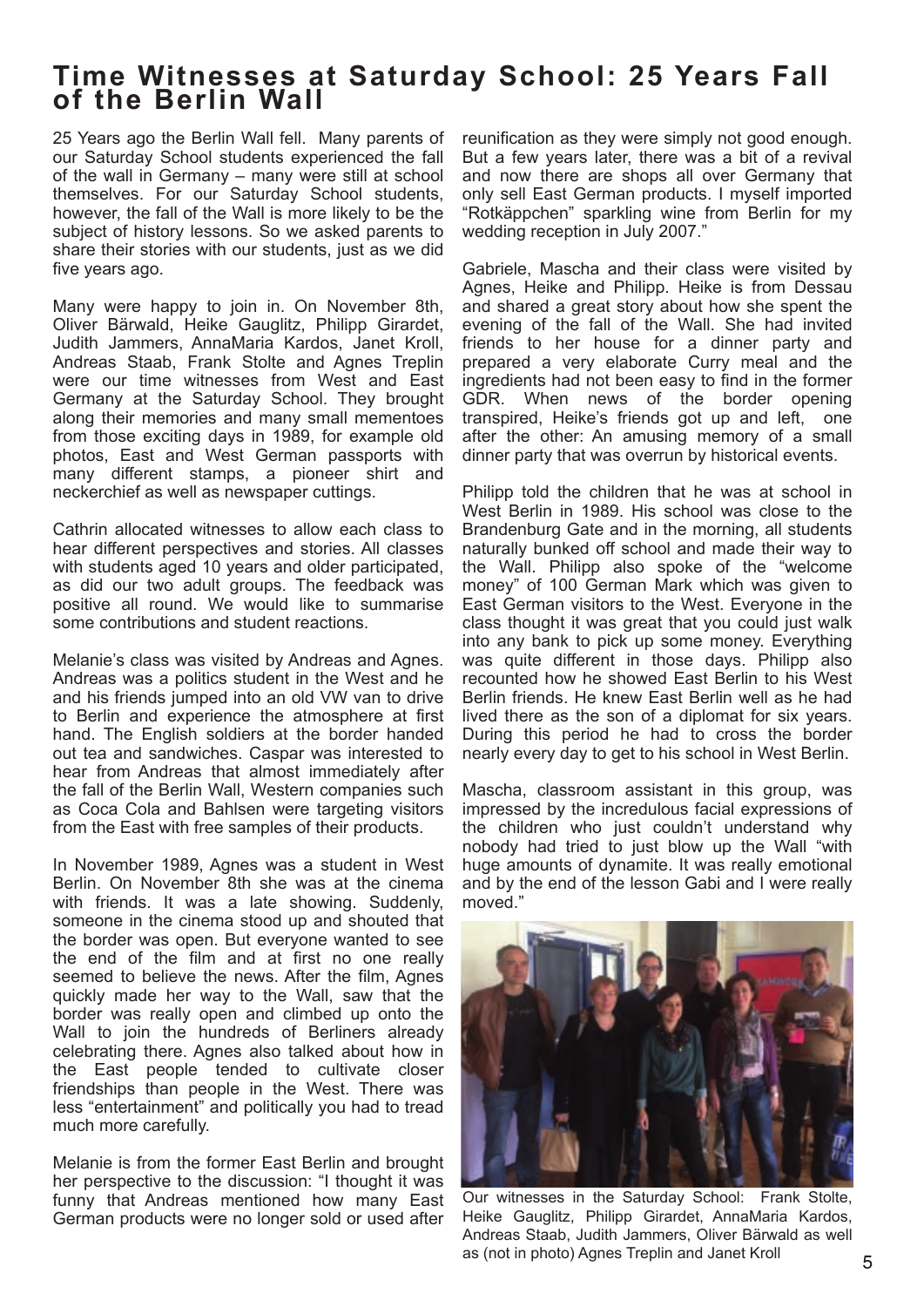# Time Witnesses at Saturday School: 25 Years Fall **o f the Berlin Wall**

25 Years ago the Berlin Wall fell. Many parents of our Saturday School students experienced the fall of the wall in Germany – many were still at school themselves. For our Saturday School students, however, the fall of the Wall is more likely to be the subject of history lessons. So we asked parents to share their stories with our students, just as we did five years ago.

Many were happy to join in. On November 8th, Oliver Bärwald, Heike Gauglitz, Philipp Girardet, Judith Jammers, AnnaMaria Kardos, Janet Kroll, Andreas Staab, Frank Stolte and Agnes Treplin were our time witnesses from West and East Germany at the Saturday School. They brought along their memories and many small mementoes from those exciting days in 1989, for example old photos, East and West German passports with many different stamps, a pioneer shirt and neckerchief as well as newspaper cuttings.

Cathrin allocated witnesses to allow each class to hear different perspectives and stories. All classes with students aged 10 years and older participated, as did our two adult groups. The feedback was positive all round. We would like to summarise some contributions and student reactions.

Melanie's class was visited by Andreas and Agnes. Andreas was a politics student in the West and he and his friends jumped into an old VW van to drive to Berlin and experience the atmosphere at first hand. The English soldiers at the border handed out tea and sandwiches. Caspar was interested to hear from Andreas that almost immediately after the fall of the Berlin Wall, Western companies such as Coca Cola and Bahlsen were targeting visitors from the East with free samples of their products.

In November 1989, Agnes was a student in West Berlin. On November 8th she was at the cinema with friends. It was a late showing. Suddenly, someone in the cinema stood up and shouted that the border was open. But everyone wanted to see the end of the film and at first no one really seemed to believe the news. After the film, Agnes quickly made her way to the Wall, saw that the border was really open and climbed up onto the Wall to join the hundreds of Berliners already celebrating there. Agnes also talked about how in the East people tended to cultivate closer friendships than people in the West. There was less "entertainment" and politically you had to tread much more carefully.

Melanie is from the former East Berlin and brought her perspective to the discussion: "I thought it was funny that Andreas mentioned how many East German products were no longer sold or used after reunification as they were simply not good enough. But a few years later, there was a bit of a revival and now there are shops all over Germany that only sell East German products. I myself imported "Rotkäppchen" sparkling wine from Berlin for my wedding reception in July 2007."

Gabriele, Mascha and their class were visited by Agnes, Heike and Philipp. Heike is from Dessau and shared a great story about how she spent the evening of the fall of the Wall. She had invited friends to her house for a dinner party and prepared a very elaborate Curry meal and the ingredients had not been easy to find in the former GDR. When news of the border opening transpired, Heike's friends got up and left, one after the other: An amusing memory of a small dinner party that was overrun by historical events.

Philipp told the children that he was at school in West Berlin in 1989. His school was close to the Brandenburg Gate and in the morning, all students naturally bunked off school and made their way to the Wall. Philipp also spoke of the "welcome money" of 100 German Mark which was given to East German visitors to the West. Everyone in the class thought it was great that you could just walk into any bank to pick up some money. Everything was quite different in those days. Philipp also recounted how he showed East Berlin to his West Berlin friends. He knew East Berlin well as he had lived there as the son of a diplomat for six years. During this period he had to cross the border nearly every day to get to his school in West Berlin.

Mascha, classroom assistant in this group, was impressed by the incredulous facial expressions of the children who just couldn't understand why nobody had tried to just blow up the Wall "with huge amounts of dynamite. It was really emotional and by the end of the lesson Gabi and I were really moved."



Our witnesses in the Saturday School: Frank Stolte, Heike Gauglitz, Philipp Girardet, AnnaMaria Kardos, Andreas Staab, Judith Jammers, Oliver Bärwald as well as (not in photo) Agnes Treplin and Janet Kroll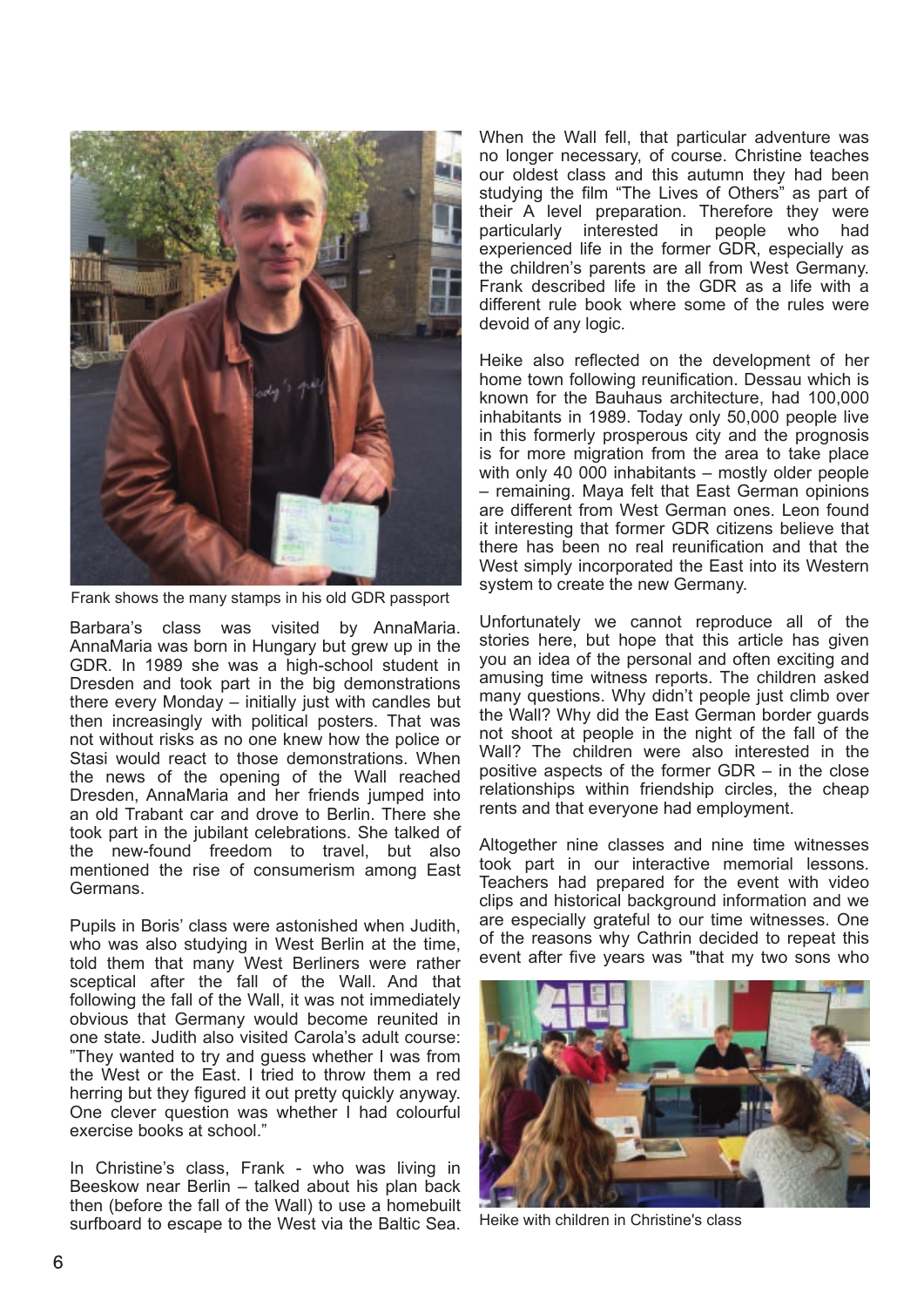

Frank shows the many stamps in his old GDR passport

Barbara's class was visited by AnnaMaria. AnnaMaria was born in Hungary but grew up in the GDR. In 1989 she was a high-school student in Dresden and took part in the big demonstrations there every Monday – initially just with candles but then increasingly with political posters. That was not without risks as no one knew how the police or Stasi would react to those demonstrations. When the news of the opening of the Wall reached Dresden, AnnaMaria and her friends jumped into an old Trabant car and drove to Berlin. There she took part in the jubilant celebrations. She talked of the new-found freedom to travel, but also mentioned the rise of consumerism among East Germans.

Pupils in Boris' class were astonished when Judith, who was also studying in West Berlin at the time, told them that many West Berliners were rather sceptical after the fall of the Wall. And that following the fall of the Wall, it was not immediately obvious that Germany would become reunited in one state. Judith also visited Carola's adult course: "They wanted to try and guess whether I was from the West or the East. I tried to throw them a red herring but they figured it out pretty quickly anyway. One clever question was whether I had colourful exercise books at school."

In Christine's class, Frank - who was living in Beeskow near Berlin – talked about his plan back then (before the fall of the Wall) to use a homebuilt surfboard to escape to the West via the Baltic Sea.

When the Wall fell, that particular adventure was no longer necessary, of course. Christine teaches our oldest class and this autumn they had been studying the film "The Lives of Others" as part of their A level preparation. Therefore they were particularly interested in people who had experienced life in the former GDR, especially as the children's parents are all from West Germany. Frank described life in the GDR as a life with a different rule book where some of the rules were devoid of any logic.

Heike also reflected on the development of her home town following reunification. Dessau which is known for the Bauhaus architecture, had 100,000 inhabitants in 1989. Today only 50,000 people live in this formerly prosperous city and the prognosis is for more migration from the area to take place with only 40 000 inhabitants – mostly older people – remaining. Maya felt that East German opinions are different from West German ones. Leon found it interesting that former GDR citizens believe that there has been no real reunification and that the West simply incorporated the East into its Western system to create the new Germany.

Unfortunately we cannot reproduce all of the stories here, but hope that this article has given you an idea of the personal and often exciting and amusing time witness reports. The children asked many questions. Why didn't people just climb over the Wall? Why did the East German border guards not shoot at people in the night of the fall of the Wall? The children were also interested in the positive aspects of the former GDR – in the close relationships within friendship circles, the cheap rents and that everyone had employment.

Altogether nine classes and nine time witnesses took part in our interactive memorial lessons. Teachers had prepared for the event with video clips and historical background information and we are especially grateful to our time witnesses. One of the reasons why Cathrin decided to repeat this event after five years was "that my two sons who



Heike with children in Christine's class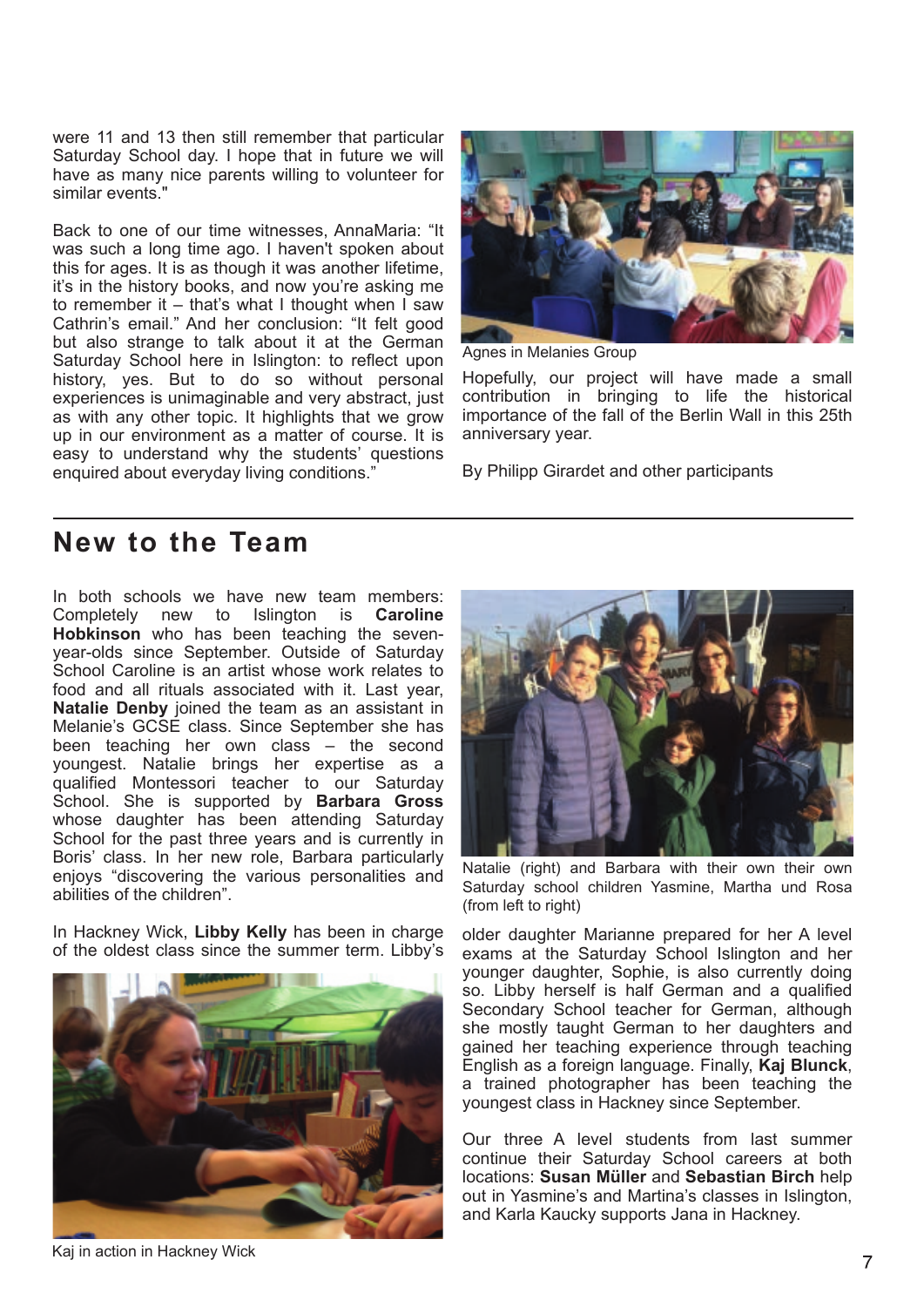were 11 and 13 then still remember that particular Saturday School day. I hope that in future we will have as many nice parents willing to volunteer for similar events."

Back to one of our time witnesses, AnnaMaria: "It was such a long time ago. I haven't spoken about this for ages. It is as though it was another lifetime, it's in the history books, and now you're asking me to remember it – that's what I thought when I saw Cathrin's email." And her conclusion: "It felt good but also strange to talk about it at the German Saturday School here in Islington: to reflect upon history, yes. But to do so without personal experiences is unimaginable and very abstract, just as with any other topic. It highlights that we grow up in our environment as a matter of course. It is easy to understand why the students' questions enquired about everyday living conditions."



Agnes in Melanies Group

Hopefully, our project will have made a small contribution in bringing to life the historical importance of the fall of the Berlin Wall in this 25th anniversary year.

By Philipp Girardet and other participants

# **New to the Team**

In both schools we have new team members: Completely new to Islington is **Caroline Hobkinson** who has been teaching the sevenyear-olds since September. Outside of Saturday School Caroline is an artist whose work relates to food and all rituals associated with it. Last year, **Natalie Denby** joined the team as an assistant in Melanie's GCSE class. Since September she has been teaching her own class – the second youngest. Natalie brings her expertise as a qualified Montessori teacher to our Saturday School. She is supported by **Barbara Gross** whose daughter has been attending Saturday School for the past three years and is currently in Boris' class. In her new role, Barbara particularly enjoys "discovering the various personalities and abilities of the children".

In Hackney Wick, **Libby Kelly** has been in charge of the oldest class since the summer term. Libby's





Natalie (right) and Barbara with their own their own Saturday school children Yasmine, Martha und Rosa (from left to right)

older daughter Marianne prepared for her A level exams at the Saturday School Islington and her younger daughter, Sophie, is also currently doing so. Libby herself is half German and a qualified Secondary School teacher for German, although she mostly taught German to her daughters and gained her teaching experience through teaching English as a foreign language. Finally, **Kaj Blunck**, a trained photographer has been teaching the youngest class in Hackney since September.

Our three A level students from last summer continue their Saturday School careers at both locations: **Susan Müller** and **Sebastian Birch** help out in Yasmine's and Martina's classes in Islington, and Karla Kaucky supports Jana in Hackney.

Kaj in action in Hackney Wick